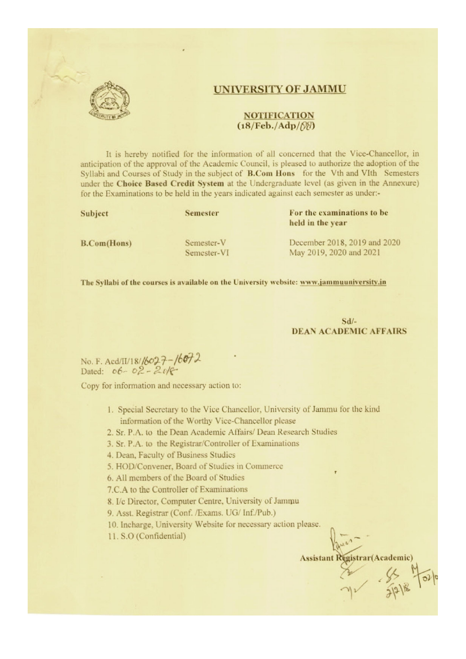

#### UNIVERSITY OF JAMMU

#### **NOTIFICATION**  $(18/Feb./Adp/\mathcal{R})$

It is hereby notified for the information of all concerned that the Vice-Chancellor, in anticipation of the approval of the Academic Council, is pleased to authorize the adoption of the Syllabi and Courses of Study in the subject of **B.Com Hons** for the Vth and VIth Semesters under the Choice Based Credit System at the Undergraduate level (as given in the Annexure) for the Examinations to be held in the years indicated against each semester as under-

Subject

**Semester** 

#### For the examinations to be held in the year

**B.Com(Hons)** 

Semester-V Semester-VI

December 2018, 2019 and 2020 May 2019, 2020 and 2021

The Syllabi of the courses is available on the University website: www.jammuuniversity.in

 $Sd/-$ **DEAN ACADEMIC AFFAIRS** 

No. F. Acd/II/18/16027-16072<br>Dated: 06-02-2018

Copy for information and necessary action to:

1. Special Secretary to the Vice Chancellor, University of Jammu for the kind information of the Worthy Vice-Chancellor please

2. Sr. P.A. to the Dean Academic Affairs/ Dean Research Studies

3. Sr. P.A. to the Registrar/Controller of Examinations

4. Dean, Faculty of Business Studies

5. HOD/Convener, Board of Studies in Commerce

6. All members of the Board of Studies

7.C.A to the Controller of Examinations

8. I/c Director, Computer Centre, University of Jammu

9. Asst. Registrar (Conf. /Exams. UG/ Inf./Pub.)

10. Incharge, University Website for necessary action please.

11. S.O (Confidential)

**Assistant Registrar(Academic)** 

 $7.8518$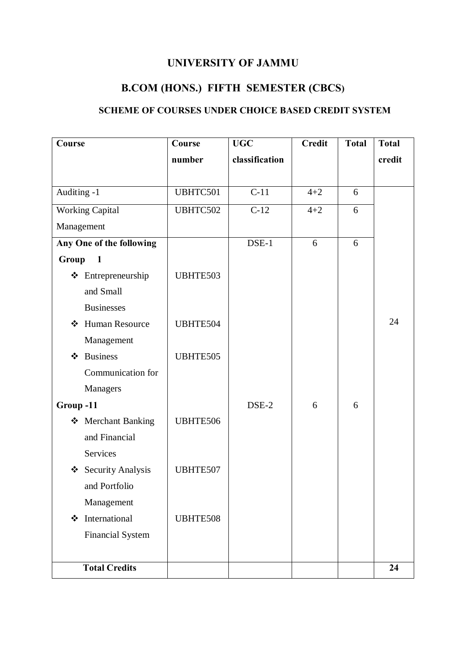# **UNIVERSITY OF JAMMU**

# **B.COM (HONS.) FIFTH SEMESTER (CBCS)**

# **SCHEME OF COURSES UNDER CHOICE BASED CREDIT SYSTEM**

| Course                       | Course   | <b>UGC</b>     | <b>Credit</b> | <b>Total</b> | <b>Total</b> |
|------------------------------|----------|----------------|---------------|--------------|--------------|
|                              | number   | classification |               |              | credit       |
|                              |          |                |               |              |              |
| Auditing -1                  | UBHTC501 | $C-11$         | $4 + 2$       | 6            |              |
| <b>Working Capital</b>       | UBHTC502 | $C-12$         | $4 + 2$       | 6            |              |
| Management                   |          |                |               |              |              |
| Any One of the following     |          | $DSE-1$        | 6             | 6            |              |
| Group<br>$\mathbf{1}$        |          |                |               |              |              |
| ❖ Entrepreneurship           | UBHTE503 |                |               |              |              |
| and Small                    |          |                |               |              |              |
| <b>Businesses</b>            |          |                |               |              |              |
| <b>Human Resource</b><br>❖   | UBHTE504 |                |               |              | 24           |
| Management                   |          |                |               |              |              |
| <b>Business</b><br>❖         | UBHTE505 |                |               |              |              |
| Communication for            |          |                |               |              |              |
| Managers                     |          |                |               |              |              |
| Group-11                     |          | DSE-2          | 6             | 6            |              |
| <b>Merchant Banking</b><br>❖ | UBHTE506 |                |               |              |              |
| and Financial                |          |                |               |              |              |
| Services                     |          |                |               |              |              |
| Security Analysis<br>❖       | UBHTE507 |                |               |              |              |
| and Portfolio                |          |                |               |              |              |
| Management                   |          |                |               |              |              |
| International<br>❖           | UBHTE508 |                |               |              |              |
| <b>Financial System</b>      |          |                |               |              |              |
|                              |          |                |               |              |              |
| <b>Total Credits</b>         |          |                |               |              | 24           |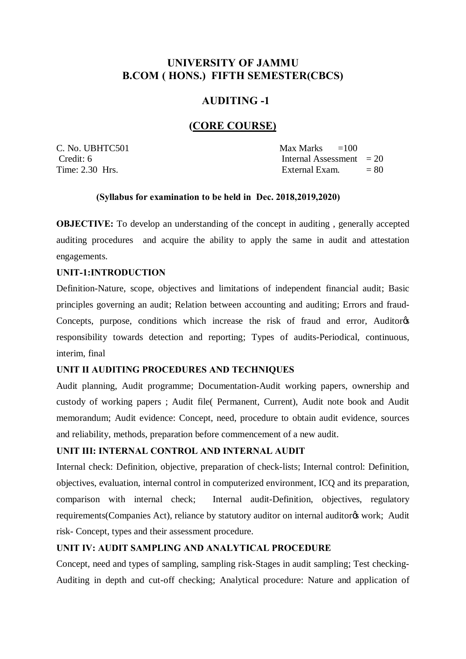# **UNIVERSITY OF JAMMU B.COM ( HONS.) FIFTH SEMESTER(CBCS)**

# **AUDITING -1**

### **(CORE COURSE)**

 $C. No. UBHTC501$  Max Marks  $=100$ Credit: 6 Internal Assessment = 20 Time:  $2.30$  Hrs.  $\qquad \qquad = 80$ 

#### **(Syllabus for examination to be held in Dec. 2018,2019,2020)**

**OBJECTIVE:** To develop an understanding of the concept in auditing, generally accepted auditing procedures and acquire the ability to apply the same in audit and attestation engagements.

### **UNIT-1:INTRODUCTION**

Definition-Nature, scope, objectives and limitations of independent financial audit; Basic principles governing an audit; Relation between accounting and auditing; Errors and fraud-Concepts, purpose, conditions which increase the risk of fraud and error, Auditor<sub>o</sub> responsibility towards detection and reporting; Types of audits-Periodical, continuous, interim, final

### **UNIT II AUDITING PROCEDURES AND TECHNIQUES**

Audit planning, Audit programme; Documentation-Audit working papers, ownership and custody of working papers ; Audit file( Permanent, Current), Audit note book and Audit memorandum; Audit evidence: Concept, need, procedure to obtain audit evidence, sources and reliability, methods, preparation before commencement of a new audit.

### **UNIT III: INTERNAL CONTROL AND INTERNAL AUDIT**

Internal check: Definition, objective, preparation of check-lists; Internal control: Definition, objectives, evaluation, internal control in computerized environment, ICQ and its preparation, comparison with internal check; Internal audit-Definition, objectives, regulatory requirements(Companies Act), reliance by statutory auditor on internal auditor work; Audit risk- Concept, types and their assessment procedure.

### **UNIT IV: AUDIT SAMPLING AND ANALYTICAL PROCEDURE**

Concept, need and types of sampling, sampling risk-Stages in audit sampling; Test checking-Auditing in depth and cut-off checking; Analytical procedure: Nature and application of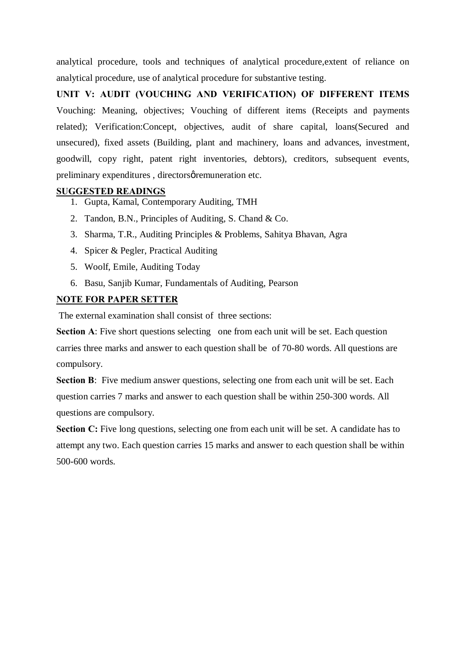analytical procedure, tools and techniques of analytical procedure,extent of reliance on analytical procedure, use of analytical procedure for substantive testing.

**UNIT V: AUDIT (VOUCHING AND VERIFICATION) OF DIFFERENT ITEMS** Vouching: Meaning, objectives; Vouching of different items (Receipts and payments related); Verification:Concept, objectives, audit of share capital, loans(Secured and unsecured), fixed assets (Building, plant and machinery, loans and advances, investment, goodwill, copy right, patent right inventories, debtors), creditors, subsequent events, preliminary expenditures, directorsø remuneration etc.

### **SUGGESTED READINGS**

- 1. Gupta, Kamal, Contemporary Auditing, TMH
- 2. Tandon, B.N., Principles of Auditing, S. Chand & Co.
- 3. Sharma, T.R., Auditing Principles & Problems, Sahitya Bhavan, Agra
- 4. Spicer & Pegler, Practical Auditing
- 5. Woolf, Emile, Auditing Today
- 6. Basu, Sanjib Kumar, Fundamentals of Auditing, Pearson

### **NOTE FOR PAPER SETTER**

The external examination shall consist of three sections:

**Section A:** Five short questions selecting one from each unit will be set. Each question carries three marks and answer to each question shall be of 70-80 words. All questions are compulsory.

**Section B**: Five medium answer questions, selecting one from each unit will be set. Each question carries 7 marks and answer to each question shall be within 250-300 words. All questions are compulsory.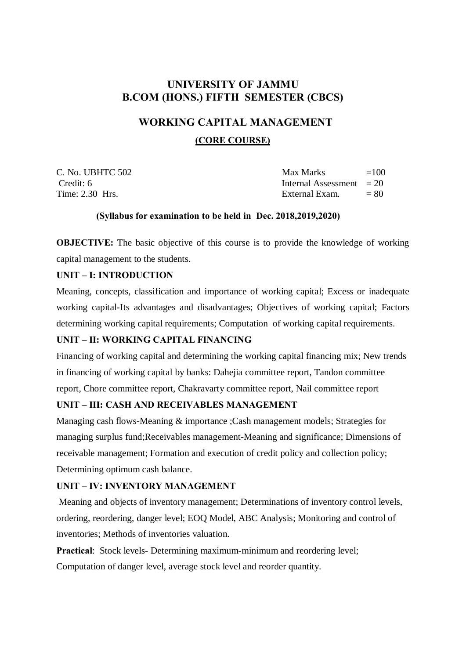# **UNIVERSITY OF JAMMU B.COM (HONS.) FIFTH SEMESTER (CBCS)**

### **WORKING CAPITAL MANAGEMENT**

### **(CORE COURSE)**

C. No. UBHTC  $502$  Max Marks  $=100$ Credit: 6 Internal Assessment = 20 Time:  $2.30$  Hrs.  $\qquad \qquad$  External Exam.  $= 80$ 

### **(Syllabus for examination to be held in Dec. 2018,2019,2020)**

**OBJECTIVE:** The basic objective of this course is to provide the knowledge of working capital management to the students.

### **UNIT – I: INTRODUCTION**

Meaning, concepts, classification and importance of working capital; Excess or inadequate working capital-Its advantages and disadvantages; Objectives of working capital; Factors determining working capital requirements; Computation of working capital requirements.

### **UNIT – II: WORKING CAPITAL FINANCING**

Financing of working capital and determining the working capital financing mix; New trends in financing of working capital by banks: Dahejia committee report, Tandon committee report, Chore committee report, Chakravarty committee report, Nail committee report

### **UNIT – III: CASH AND RECEIVABLES MANAGEMENT**

Managing cash flows-Meaning & importance ;Cash management models; Strategies for managing surplus fund;Receivables management-Meaning and significance; Dimensions of receivable management; Formation and execution of credit policy and collection policy; Determining optimum cash balance.

### **UNIT – IV: INVENTORY MANAGEMENT**

Meaning and objects of inventory management; Determinations of inventory control levels, ordering, reordering, danger level; EOQ Model, ABC Analysis; Monitoring and control of inventories; Methods of inventories valuation.

**Practical:** Stock levels- Determining maximum-minimum and reordering level; Computation of danger level, average stock level and reorder quantity.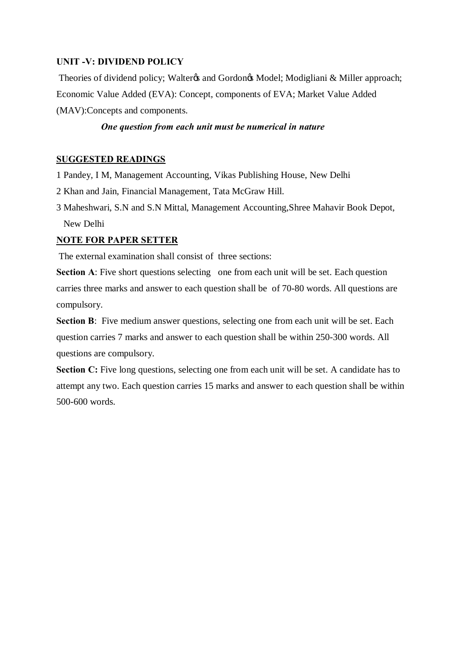### **UNIT -V: DIVIDEND POLICY**

Theories of dividend policy; Walter & and Gordon & Model; Modigliani & Miller approach; Economic Value Added (EVA): Concept, components of EVA; Market Value Added (MAV):Concepts and components.

### *One question from each unit must be numerical in nature*

### **SUGGESTED READINGS**

- 1 Pandey, I M, Management Accounting, Vikas Publishing House, New Delhi
- 2 Khan and Jain, Financial Management, Tata McGraw Hill.
- 3 Maheshwari, S.N and S.N Mittal, Management Accounting,Shree Mahavir Book Depot, New Delhi

# **NOTE FOR PAPER SETTER**

The external examination shall consist of three sections:

**Section A:** Five short questions selecting one from each unit will be set. Each question carries three marks and answer to each question shall be of 70-80 words. All questions are compulsory.

**Section B**: Five medium answer questions, selecting one from each unit will be set. Each question carries 7 marks and answer to each question shall be within 250-300 words. All questions are compulsory.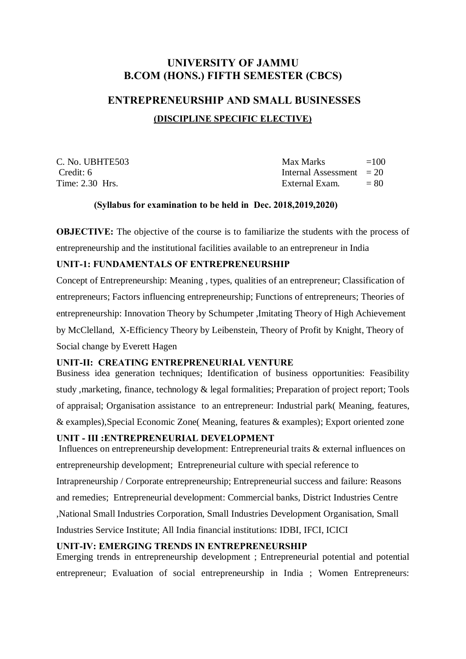# **UNIVERSITY OF JAMMU B.COM (HONS.) FIFTH SEMESTER (CBCS)**

# **ENTREPRENEURSHIP AND SMALL BUSINESSES (DISCIPLINE SPECIFIC ELECTIVE)**

| C. No. UBHTE503 | Max Marks                  | $=100$ |
|-----------------|----------------------------|--------|
| Credit: 6       | Internal Assessment $= 20$ |        |
| Time: 2.30 Hrs. | External Exam.             | $= 80$ |

### **(Syllabus for examination to be held in Dec. 2018,2019,2020)**

**OBJECTIVE:** The objective of the course is to familiarize the students with the process of entrepreneurship and the institutional facilities available to an entrepreneur in India

### **UNIT-1: FUNDAMENTALS OF ENTREPRENEURSHIP**

Concept of Entrepreneurship: Meaning , types, qualities of an entrepreneur; Classification of entrepreneurs; Factors influencing entrepreneurship; Functions of entrepreneurs; Theories of entrepreneurship: Innovation Theory by Schumpeter ,Imitating Theory of High Achievement by McClelland, X-Efficiency Theory by Leibenstein, Theory of Profit by Knight, Theory of Social change by Everett Hagen

### **UNIT-II: CREATING ENTREPRENEURIAL VENTURE**

Business idea generation techniques; Identification of business opportunities: Feasibility study ,marketing, finance, technology & legal formalities; Preparation of project report; Tools of appraisal; Organisation assistance to an entrepreneur: Industrial park( Meaning, features, & examples),Special Economic Zone( Meaning, features & examples); Export oriented zone

### **UNIT - III :ENTREPRENEURIAL DEVELOPMENT**

Influences on entrepreneurship development: Entrepreneurial traits & external influences on entrepreneurship development; Entrepreneurial culture with special reference to Intrapreneurship / Corporate entrepreneurship; Entrepreneurial success and failure: Reasons and remedies; Entrepreneurial development: Commercial banks, District Industries Centre ,National Small Industries Corporation, Small Industries Development Organisation, Small Industries Service Institute; All India financial institutions: IDBI, IFCI, ICICI

### **UNIT-IV: EMERGING TRENDS IN ENTREPRENEURSHIP**

Emerging trends in entrepreneurship development ; Entrepreneurial potential and potential entrepreneur; Evaluation of social entrepreneurship in India ; Women Entrepreneurs: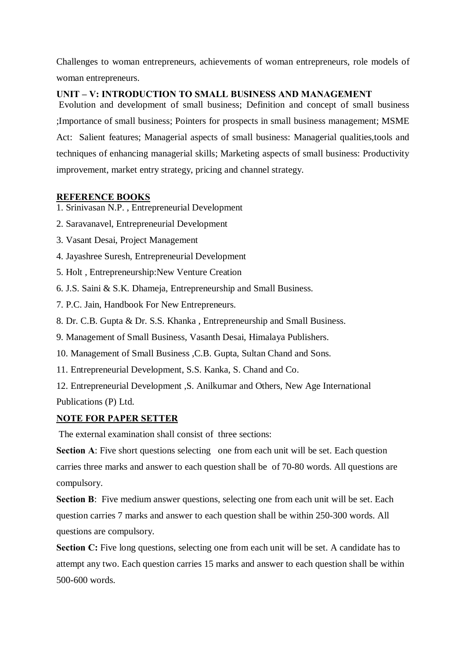Challenges to woman entrepreneurs, achievements of woman entrepreneurs, role models of woman entrepreneurs.

### **UNIT – V: INTRODUCTION TO SMALL BUSINESS AND MANAGEMENT**

Evolution and development of small business; Definition and concept of small business ;Importance of small business; Pointers for prospects in small business management; MSME Act: Salient features; Managerial aspects of small business: Managerial qualities,tools and techniques of enhancing managerial skills; Marketing aspects of small business: Productivity improvement, market entry strategy, pricing and channel strategy.

### **REFERENCE BOOKS**

1. Srinivasan N.P. , Entrepreneurial Development

- 2. Saravanavel, Entrepreneurial Development
- 3. Vasant Desai, Project Management
- 4. Jayashree Suresh, Entrepreneurial Development
- 5. Holt , Entrepreneurship:New Venture Creation
- 6. J.S. Saini & S.K. Dhameja, Entrepreneurship and Small Business.
- 7. P.C. Jain, Handbook For New Entrepreneurs.
- 8. Dr. C.B. Gupta & Dr. S.S. Khanka , Entrepreneurship and Small Business.
- 9. Management of Small Business, Vasanth Desai, Himalaya Publishers.
- 10. Management of Small Business ,C.B. Gupta, Sultan Chand and Sons.
- 11. Entrepreneurial Development, S.S. Kanka, S. Chand and Co.
- 12. Entrepreneurial Development ,S. Anilkumar and Others, New Age International Publications (P) Ltd.

### **NOTE FOR PAPER SETTER**

The external examination shall consist of three sections:

**Section A:** Five short questions selecting one from each unit will be set. Each question carries three marks and answer to each question shall be of 70-80 words. All questions are compulsory.

**Section B**: Five medium answer questions, selecting one from each unit will be set. Each question carries 7 marks and answer to each question shall be within 250-300 words. All questions are compulsory.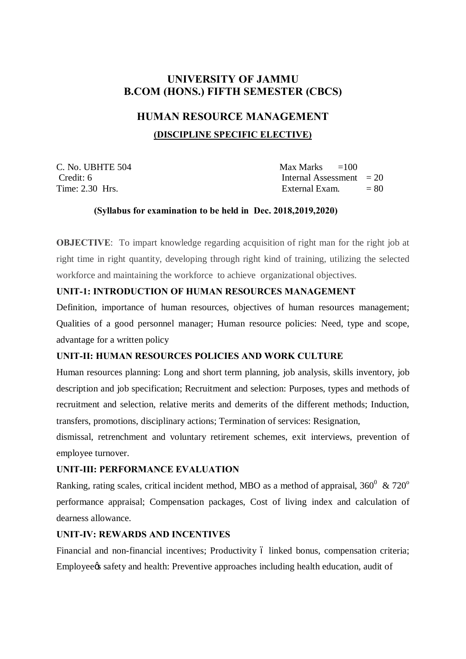# **UNIVERSITY OF JAMMU B.COM (HONS.) FIFTH SEMESTER (CBCS)**

### **HUMAN RESOURCE MANAGEMENT**

### **(DISCIPLINE SPECIFIC ELECTIVE)**

C. No. UBHTE  $504$  Max Marks  $=100$ 

Credit: 6 Internal Assessment = 20 Time:  $2.30$  Hrs.  $\qquad \qquad = 80$ 

### **(Syllabus for examination to be held in Dec. 2018,2019,2020)**

**OBJECTIVE:** To impart knowledge regarding acquisition of right man for the right job at right time in right quantity, developing through right kind of training, utilizing the selected workforce and maintaining the workforce to achieve organizational objectives.

### **UNIT-1: INTRODUCTION OF HUMAN RESOURCES MANAGEMENT**

Definition, importance of human resources, objectives of human resources management; Qualities of a good personnel manager; Human resource policies: Need, type and scope, advantage for a written policy

### **UNIT-II: HUMAN RESOURCES POLICIES AND WORK CULTURE**

Human resources planning: Long and short term planning, job analysis, skills inventory, job description and job specification; Recruitment and selection: Purposes, types and methods of recruitment and selection, relative merits and demerits of the different methods; Induction, transfers, promotions, disciplinary actions; Termination of services: Resignation,

dismissal, retrenchment and voluntary retirement schemes, exit interviews, prevention of employee turnover.

### **UNIT-III: PERFORMANCE EVALUATION**

Ranking, rating scales, critical incident method, MBO as a method of appraisal,  $360^{\circ}$  &  $720^{\circ}$ performance appraisal; Compensation packages, Cost of living index and calculation of dearness allowance.

### **UNIT-IV: REWARDS AND INCENTIVES**

Financial and non-financial incentives; Productivity 6 linked bonus, compensation criteria; Employee as safety and health: Preventive approaches including health education, audit of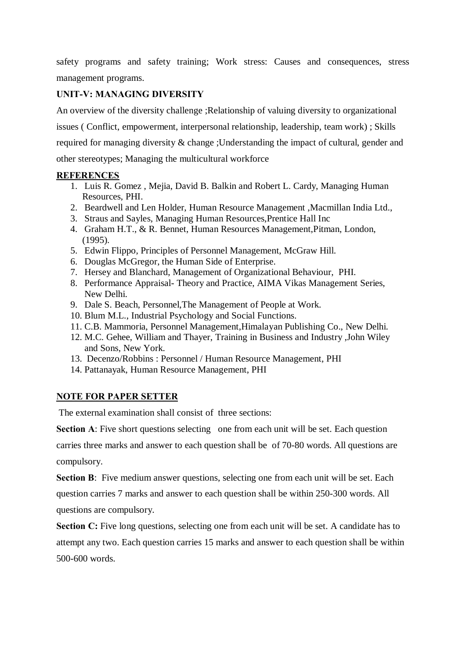safety programs and safety training; Work stress: Causes and consequences, stress management programs.

### **UNIT-V: MANAGING DIVERSITY**

An overview of the diversity challenge ;Relationship of valuing diversity to organizational

issues ( Conflict, empowerment, interpersonal relationship, leadership, team work) ; Skills

required for managing diversity & change ;Understanding the impact of cultural, gender and

other stereotypes; Managing the multicultural workforce

### **REFERENCES**

- 1. Luis R. Gomez , Mejia, David B. Balkin and Robert L. Cardy, Managing Human Resources, PHI.
- 2. Beardwell and Len Holder, Human Resource Management ,Macmillan India Ltd.,
- 3. Straus and Sayles, Managing Human Resources,Prentice Hall Inc
- 4. Graham H.T., & R. Bennet, Human Resources Management,Pitman, London, (1995).
- 5. Edwin Flippo, Principles of Personnel Management, McGraw Hill.
- 6. Douglas McGregor, the Human Side of Enterprise.
- 7. Hersey and Blanchard, Management of Organizational Behaviour, PHI.
- 8. Performance Appraisal- Theory and Practice, AIMA Vikas Management Series, New Delhi.
- 9. Dale S. Beach, Personnel,The Management of People at Work.
- 10. Blum M.L., Industrial Psychology and Social Functions.
- 11. C.B. Mammoria, Personnel Management,Himalayan Publishing Co., New Delhi.
- 12. M.C. Gehee, William and Thayer, Training in Business and Industry ,John Wiley and Sons, New York.
- 13. Decenzo/Robbins : Personnel / Human Resource Management, PHI
- 14. Pattanayak, Human Resource Management, PHI

### **NOTE FOR PAPER SETTER**

The external examination shall consist of three sections:

**Section A:** Five short questions selecting one from each unit will be set. Each question

carries three marks and answer to each question shall be of 70-80 words. All questions are compulsory.

**Section B**: Five medium answer questions, selecting one from each unit will be set. Each

question carries 7 marks and answer to each question shall be within 250-300 words. All questions are compulsory.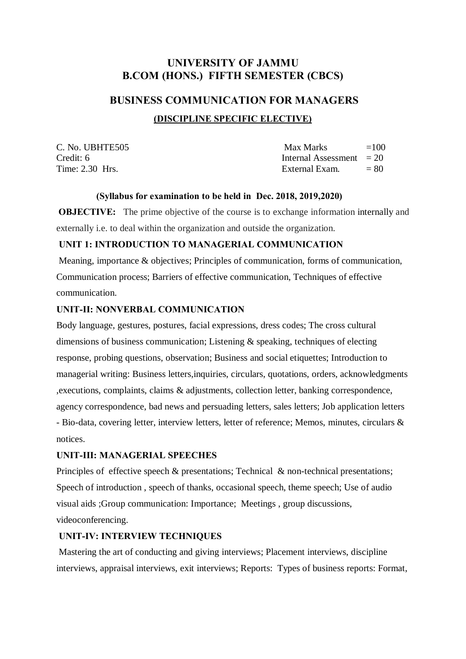# **UNIVERSITY OF JAMMU B.COM (HONS.) FIFTH SEMESTER (CBCS)**

# **BUSINESS COMMUNICATION FOR MANAGERS (DISCIPLINE SPECIFIC ELECTIVE)**

| C. No. UBHTE505 | Max Marks                  | $=100$ |
|-----------------|----------------------------|--------|
| Credit: 6       | Internal Assessment $= 20$ |        |
| Time: 2.30 Hrs. | External Exam.             | $= 80$ |

### **(Syllabus for examination to be held in Dec. 2018, 2019,2020)**

**OBJECTIVE:** The prime objective of the course is to exchange information internally and externally i.e. to deal within the organization and outside the organization.

#### **UNIT 1: INTRODUCTION TO MANAGERIAL COMMUNICATION**

Meaning, importance & objectives; Principles of communication, forms of communication, Communication process; Barriers of effective communication, Techniques of effective communication.

#### **UNIT-II: NONVERBAL COMMUNICATION**

Body language, gestures, postures, facial expressions, dress codes; The cross cultural dimensions of business communication; Listening & speaking, techniques of electing response, probing questions, observation; Business and social etiquettes; Introduction to managerial writing: Business letters,inquiries, circulars, quotations, orders, acknowledgments ,executions, complaints, claims & adjustments, collection letter, banking correspondence, agency correspondence, bad news and persuading letters, sales letters; Job application letters - Bio-data, covering letter, interview letters, letter of reference; Memos, minutes, circulars & notices.

#### **UNIT-III: MANAGERIAL SPEECHES**

Principles of effective speech  $\&$  presentations; Technical  $\&$  non-technical presentations; Speech of introduction , speech of thanks, occasional speech, theme speech; Use of audio visual aids ;Group communication: Importance; Meetings , group discussions, videoconferencing.

### **UNIT-IV: INTERVIEW TECHNIQUES**

Mastering the art of conducting and giving interviews; Placement interviews, discipline interviews, appraisal interviews, exit interviews; Reports: Types of business reports: Format,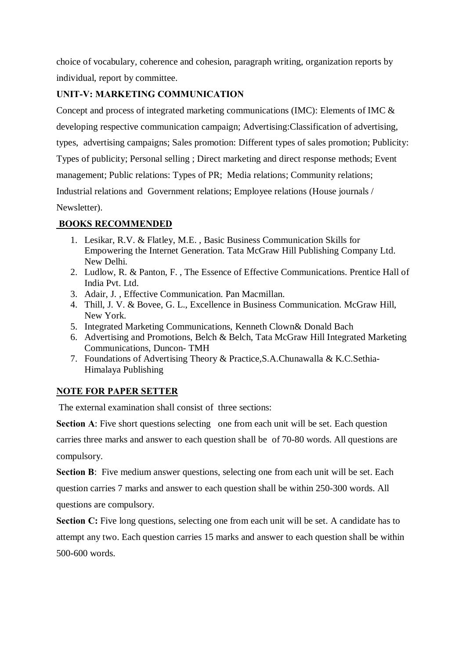choice of vocabulary, coherence and cohesion, paragraph writing, organization reports by individual, report by committee.

### **UNIT-V: MARKETING COMMUNICATION**

Concept and process of integrated marketing communications (IMC): Elements of IMC & developing respective communication campaign; Advertising:Classification of advertising, types, advertising campaigns; Sales promotion: Different types of sales promotion; Publicity: Types of publicity; Personal selling ; Direct marketing and direct response methods; Event management; Public relations: Types of PR; Media relations; Community relations; Industrial relations and Government relations; Employee relations (House journals / Newsletter).

# **BOOKS RECOMMENDED**

- 1. Lesikar, R.V. & Flatley, M.E. , Basic Business Communication Skills for Empowering the Internet Generation. Tata McGraw Hill Publishing Company Ltd. New Delhi.
- 2. Ludlow, R. & Panton, F. , The Essence of Effective Communications. Prentice Hall of India Pvt. Ltd.
- 3. Adair, J. , Effective Communication. Pan Macmillan.
- 4. Thill, J. V. & Bovee, G. L., Excellence in Business Communication. McGraw Hill, New York.
- 5. Integrated Marketing Communications, Kenneth Clown& Donald Bach
- 6. Advertising and Promotions, Belch & Belch, Tata McGraw Hill Integrated Marketing Communications, Duncon- TMH
- 7. Foundations of Advertising Theory & Practice,S.A.Chunawalla & K.C.Sethia-Himalaya Publishing

# **NOTE FOR PAPER SETTER**

The external examination shall consist of three sections:

**Section A:** Five short questions selecting one from each unit will be set. Each question

carries three marks and answer to each question shall be of 70-80 words. All questions are compulsory.

**Section B**: Five medium answer questions, selecting one from each unit will be set. Each question carries 7 marks and answer to each question shall be within 250-300 words. All questions are compulsory.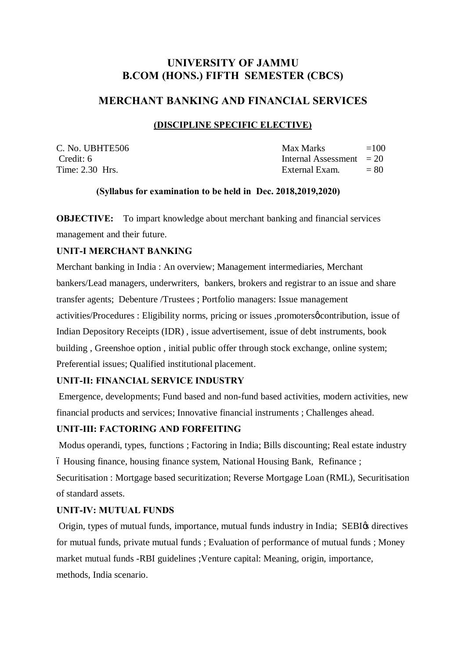# **UNIVERSITY OF JAMMU B.COM (HONS.) FIFTH SEMESTER (CBCS)**

### **MERCHANT BANKING AND FINANCIAL SERVICES**

### **(DISCIPLINE SPECIFIC ELECTIVE)**

| C. No. UBHTE506 |  |
|-----------------|--|
| Credit: 6       |  |
| Time: 2.30 Hrs. |  |

| C. No. UBHTE506 | Max Marks                  | $=100$ |
|-----------------|----------------------------|--------|
| Credit: 6       | Internal Assessment $= 20$ |        |
| Time: 2.30 Hrs. | External Exam.             | $= 80$ |

### **(Syllabus for examination to be held in Dec. 2018,2019,2020)**

**OBJECTIVE:** To impart knowledge about merchant banking and financial services management and their future.

### **UNIT-I MERCHANT BANKING**

Merchant banking in India : An overview; Management intermediaries, Merchant bankers/Lead managers, underwriters, bankers, brokers and registrar to an issue and share transfer agents; Debenture /Trustees ; Portfolio managers: Issue management activities/Procedures : Eligibility norms, pricing or issues ,promoters *o* contribution, issue of Indian Depository Receipts (IDR) , issue advertisement, issue of debt instruments, book building , Greenshoe option , initial public offer through stock exchange, online system; Preferential issues; Qualified institutional placement.

### **UNIT-II: FINANCIAL SERVICE INDUSTRY**

Emergence, developments; Fund based and non-fund based activities, modern activities, new financial products and services; Innovative financial instruments ; Challenges ahead.

### **UNIT-III: FACTORING AND FORFEITING**

Modus operandi, types, functions ; Factoring in India; Bills discounting; Real estate industry  $\acute{o}$  Housing finance, housing finance system, National Housing Bank, Refinance; Securitisation : Mortgage based securitization; Reverse Mortgage Loan (RML), Securitisation of standard assets.

### **UNIT-IV: MUTUAL FUNDS**

Origin, types of mutual funds, importance, mutual funds industry in India; SEBI $\alpha$  directives for mutual funds, private mutual funds ; Evaluation of performance of mutual funds ; Money market mutual funds -RBI guidelines ;Venture capital: Meaning, origin, importance, methods, India scenario.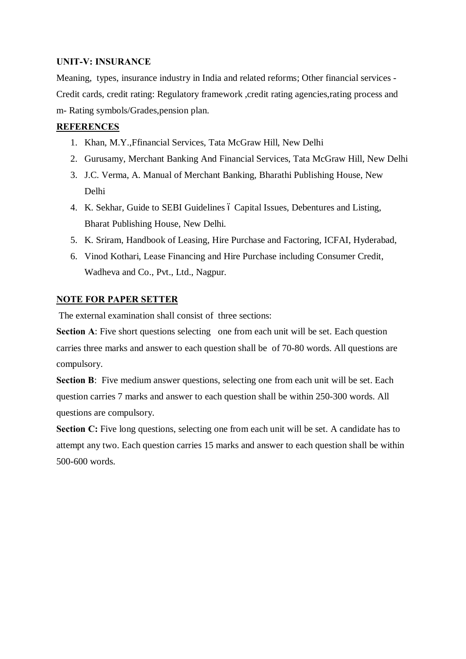### **UNIT-V: INSURANCE**

Meaning, types, insurance industry in India and related reforms; Other financial services - Credit cards, credit rating: Regulatory framework ,credit rating agencies,rating process and m- Rating symbols/Grades,pension plan.

### **REFERENCES**

- 1. Khan, M.Y.,Ffinancial Services, Tata McGraw Hill, New Delhi
- 2. Gurusamy, Merchant Banking And Financial Services, Tata McGraw Hill, New Delhi
- 3. J.C. Verma, A. Manual of Merchant Banking, Bharathi Publishing House, New Delhi
- 4. K. Sekhar, Guide to SEBI Guidelines ó Capital Issues, Debentures and Listing, Bharat Publishing House, New Delhi.
- 5. K. Sriram, Handbook of Leasing, Hire Purchase and Factoring, ICFAI, Hyderabad,
- 6. Vinod Kothari, Lease Financing and Hire Purchase including Consumer Credit, Wadheva and Co., Pvt., Ltd., Nagpur.

### **NOTE FOR PAPER SETTER**

The external examination shall consist of three sections:

**Section A:** Five short questions selecting one from each unit will be set. Each question carries three marks and answer to each question shall be of 70-80 words. All questions are compulsory.

**Section B**: Five medium answer questions, selecting one from each unit will be set. Each question carries 7 marks and answer to each question shall be within 250-300 words. All questions are compulsory.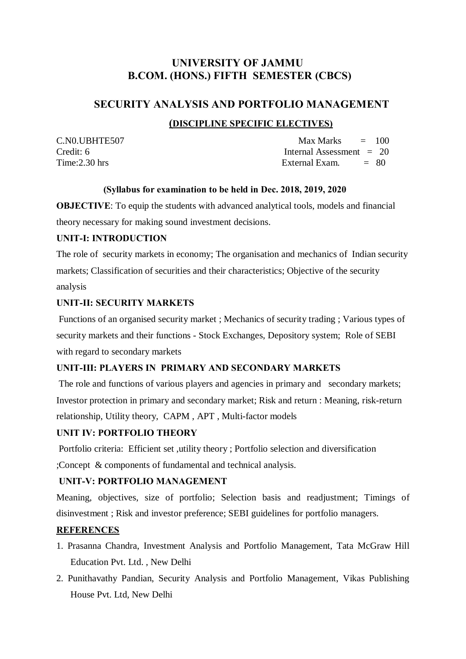# **UNIVERSITY OF JAMMU B.COM. (HONS.) FIFTH SEMESTER (CBCS)**

### **SECURITY ANALYSIS AND PORTFOLIO MANAGEMENT**

### **(DISCIPLINE SPECIFIC ELECTIVES)**

 $C.N0.UBHTE507$  Max Marks  $= 100$ Credit: 6 Internal Assessment = 20<br>
Time: 2.30 hrs External Exam. = 80 External Exam.  $= 80$ 

### **(Syllabus for examination to be held in Dec. 2018, 2019, 2020**

**OBJECTIVE:** To equip the students with advanced analytical tools, models and financial theory necessary for making sound investment decisions.

### **UNIT-I: INTRODUCTION**

The role of security markets in economy; The organisation and mechanics of Indian security markets; Classification of securities and their characteristics; Objective of the security analysis

### **UNIT-II: SECURITY MARKETS**

Functions of an organised security market ; Mechanics of security trading ; Various types of security markets and their functions - Stock Exchanges, Depository system; Role of SEBI with regard to secondary markets

### **UNIT-III: PLAYERS IN PRIMARY AND SECONDARY MARKETS**

The role and functions of various players and agencies in primary and secondary markets; Investor protection in primary and secondary market; Risk and return : Meaning, risk-return relationship, Utility theory, CAPM , APT , Multi-factor models

### **UNIT IV: PORTFOLIO THEORY**

Portfolio criteria: Efficient set ,utility theory ; Portfolio selection and diversification ;Concept & components of fundamental and technical analysis.

### **UNIT-V: PORTFOLIO MANAGEMENT**

Meaning, objectives, size of portfolio; Selection basis and readjustment; Timings of disinvestment ; Risk and investor preference; SEBI guidelines for portfolio managers.

### **REFERENCES**

- 1. Prasanna Chandra, Investment Analysis and Portfolio Management, Tata McGraw Hill Education Pvt. Ltd. , New Delhi
- 2. Punithavathy Pandian, Security Analysis and Portfolio Management, Vikas Publishing House Pvt. Ltd, New Delhi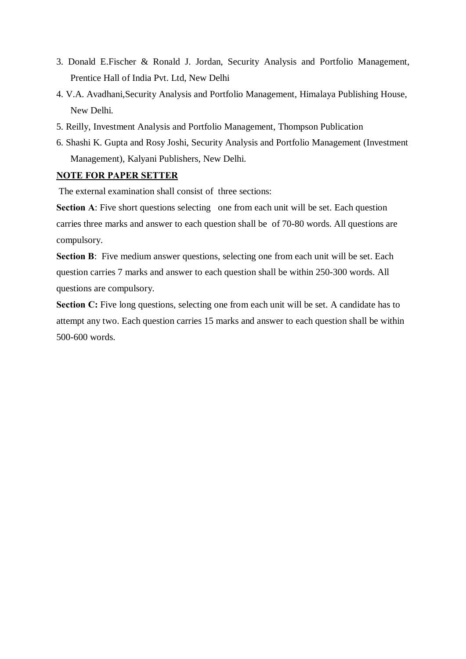- 3. Donald E.Fischer & Ronald J. Jordan, Security Analysis and Portfolio Management, Prentice Hall of India Pvt. Ltd, New Delhi
- 4. V.A. Avadhani,Security Analysis and Portfolio Management, Himalaya Publishing House, New Delhi.
- 5. Reilly, Investment Analysis and Portfolio Management, Thompson Publication
- 6. Shashi K. Gupta and Rosy Joshi, Security Analysis and Portfolio Management (Investment Management), Kalyani Publishers, New Delhi.

### **NOTE FOR PAPER SETTER**

The external examination shall consist of three sections:

**Section A:** Five short questions selecting one from each unit will be set. Each question carries three marks and answer to each question shall be of 70-80 words. All questions are compulsory.

**Section B**: Five medium answer questions, selecting one from each unit will be set. Each question carries 7 marks and answer to each question shall be within 250-300 words. All questions are compulsory.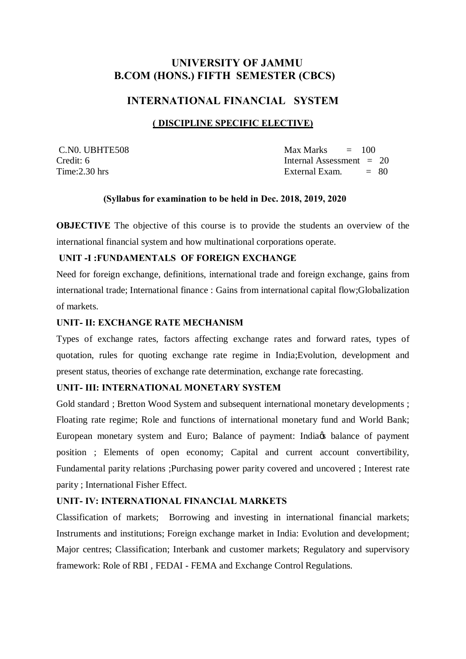# **UNIVERSITY OF JAMMU B.COM (HONS.) FIFTH SEMESTER (CBCS)**

### **INTERNATIONAL FINANCIAL SYSTEM**

### **( DISCIPLINE SPECIFIC ELECTIVE)**

 $C.N0. UBHTE508$  Max Marks  $= 100$ Credit: 6 Internal Assessment = 20  $Time: 2.30 \text{ hrs}$   $= 80$ 

### **(Syllabus for examination to be held in Dec. 2018, 2019, 2020**

**OBJECTIVE** The objective of this course is to provide the students an overview of the international financial system and how multinational corporations operate.

#### **UNIT -I :FUNDAMENTALS OF FOREIGN EXCHANGE**

Need for foreign exchange, definitions, international trade and foreign exchange, gains from international trade; International finance : Gains from international capital flow;Globalization of markets.

### **UNIT- II: EXCHANGE RATE MECHANISM**

Types of exchange rates, factors affecting exchange rates and forward rates, types of quotation, rules for quoting exchange rate regime in India;Evolution, development and present status, theories of exchange rate determination, exchange rate forecasting.

### **UNIT- III: INTERNATIONAL MONETARY SYSTEM**

Gold standard ; Bretton Wood System and subsequent international monetary developments ; Floating rate regime; Role and functions of international monetary fund and World Bank; European monetary system and Euro; Balance of payment: India<sub>n</sub> balance of payment position ; Elements of open economy; Capital and current account convertibility, Fundamental parity relations ;Purchasing power parity covered and uncovered ; Interest rate parity ; International Fisher Effect.

### **UNIT- IV: INTERNATIONAL FINANCIAL MARKETS**

Classification of markets; Borrowing and investing in international financial markets; Instruments and institutions; Foreign exchange market in India: Evolution and development; Major centres; Classification; Interbank and customer markets; Regulatory and supervisory framework: Role of RBI , FEDAI - FEMA and Exchange Control Regulations.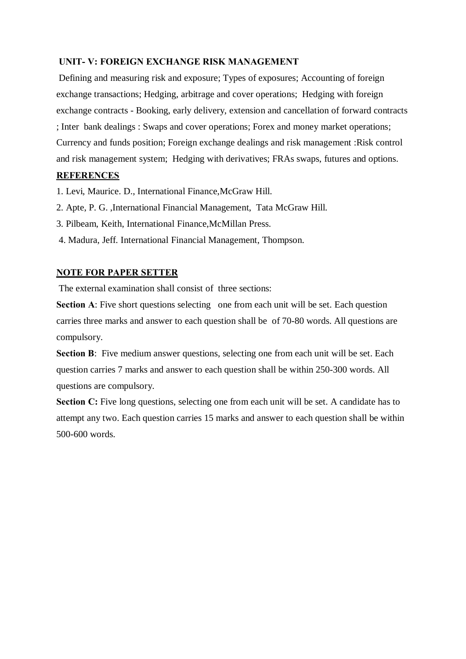### **UNIT- V: FOREIGN EXCHANGE RISK MANAGEMENT**

Defining and measuring risk and exposure; Types of exposures; Accounting of foreign exchange transactions; Hedging, arbitrage and cover operations; Hedging with foreign exchange contracts - Booking, early delivery, extension and cancellation of forward contracts ; Inter bank dealings : Swaps and cover operations; Forex and money market operations; Currency and funds position; Foreign exchange dealings and risk management :Risk control and risk management system; Hedging with derivatives; FRAs swaps, futures and options.

### **REFERENCES**

1. Levi, Maurice. D., International Finance,McGraw Hill.

- 2. Apte, P. G. ,International Financial Management, Tata McGraw Hill.
- 3. Pilbeam, Keith, International Finance,McMillan Press.
- 4. Madura, Jeff. International Financial Management, Thompson.

### **NOTE FOR PAPER SETTER**

The external examination shall consist of three sections:

**Section A:** Five short questions selecting one from each unit will be set. Each question carries three marks and answer to each question shall be of 70-80 words. All questions are compulsory.

**Section B:** Five medium answer questions, selecting one from each unit will be set. Each question carries 7 marks and answer to each question shall be within 250-300 words. All questions are compulsory.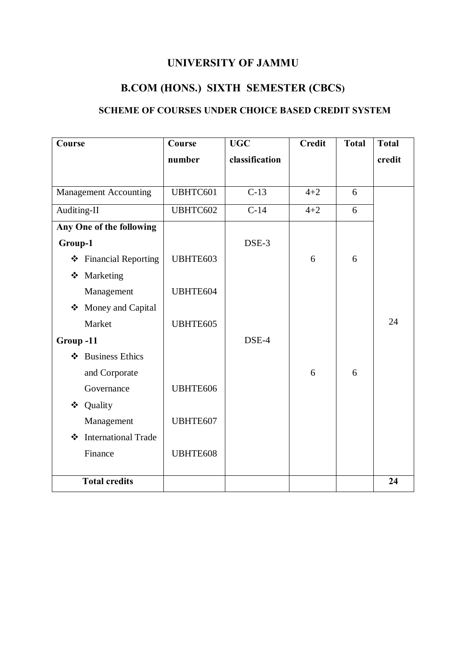# **UNIVERSITY OF JAMMU**

# **B.COM (HONS.) SIXTH SEMESTER (CBCS)**

# **SCHEME OF COURSES UNDER CHOICE BASED CREDIT SYSTEM**

| Course                                | Course   | <b>UGC</b>        | <b>Credit</b> | <b>Total</b> | <b>Total</b> |
|---------------------------------------|----------|-------------------|---------------|--------------|--------------|
|                                       | number   | classification    |               |              | credit       |
|                                       |          |                   |               |              |              |
| <b>Management Accounting</b>          | UBHTC601 | $\overline{C-13}$ | $4 + 2$       | 6            |              |
| Auditing-II                           | UBHTC602 | $C-14$            | $4 + 2$       | 6            |              |
| Any One of the following              |          |                   |               |              |              |
| Group-1                               |          | DSE-3             |               |              |              |
| ❖ Financial Reporting                 | UBHTE603 |                   | 6             | 6            |              |
| ❖ Marketing                           |          |                   |               |              |              |
| Management                            | UBHTE604 |                   |               |              |              |
| Money and Capital<br>❖                |          |                   |               |              |              |
| Market                                | UBHTE605 |                   |               |              | 24           |
| Group-11                              |          | DSE-4             |               |              |              |
| <b>Business Ethics</b><br>❖           |          |                   |               |              |              |
| and Corporate                         |          |                   | 6             | 6            |              |
| Governance                            | UBHTE606 |                   |               |              |              |
| Quality<br>❖                          |          |                   |               |              |              |
| Management                            | UBHTE607 |                   |               |              |              |
| <b>International Trade</b><br>$\cdot$ |          |                   |               |              |              |
| Finance                               | UBHTE608 |                   |               |              |              |
|                                       |          |                   |               |              |              |
| <b>Total credits</b>                  |          |                   |               |              | 24           |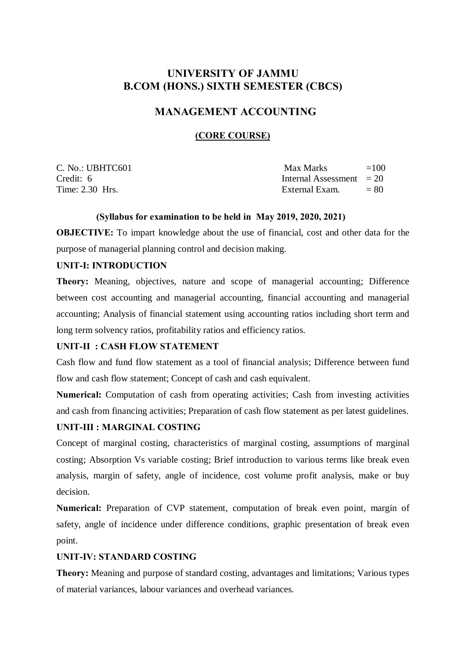# **UNIVERSITY OF JAMMU B.COM (HONS.) SIXTH SEMESTER (CBCS)**

# **MANAGEMENT ACCOUNTING**

### **(CORE COURSE)**

| C. No.: UBHTC601 | Max Marks                  | $=100$ |
|------------------|----------------------------|--------|
| Credit: 6        | Internal Assessment $= 20$ |        |
| Time: 2.30 Hrs.  | External Exam.             | $= 80$ |

### **(Syllabus for examination to be held in May 2019, 2020, 2021)**

**OBJECTIVE:** To impart knowledge about the use of financial, cost and other data for the purpose of managerial planning control and decision making.

### **UNIT-I: INTRODUCTION**

**Theory:** Meaning, objectives, nature and scope of managerial accounting; Difference between cost accounting and managerial accounting, financial accounting and managerial accounting; Analysis of financial statement using accounting ratios including short term and long term solvency ratios, profitability ratios and efficiency ratios.

### **UNIT-II : CASH FLOW STATEMENT**

Cash flow and fund flow statement as a tool of financial analysis; Difference between fund flow and cash flow statement; Concept of cash and cash equivalent.

**Numerical:** Computation of cash from operating activities; Cash from investing activities and cash from financing activities; Preparation of cash flow statement as per latest guidelines.

### **UNIT-III : MARGINAL COSTING**

Concept of marginal costing, characteristics of marginal costing, assumptions of marginal costing; Absorption Vs variable costing; Brief introduction to various terms like break even analysis, margin of safety, angle of incidence, cost volume profit analysis, make or buy decision.

**Numerical:** Preparation of CVP statement, computation of break even point, margin of safety, angle of incidence under difference conditions, graphic presentation of break even point.

### **UNIT-IV: STANDARD COSTING**

**Theory:** Meaning and purpose of standard costing, advantages and limitations; Various types of material variances, labour variances and overhead variances.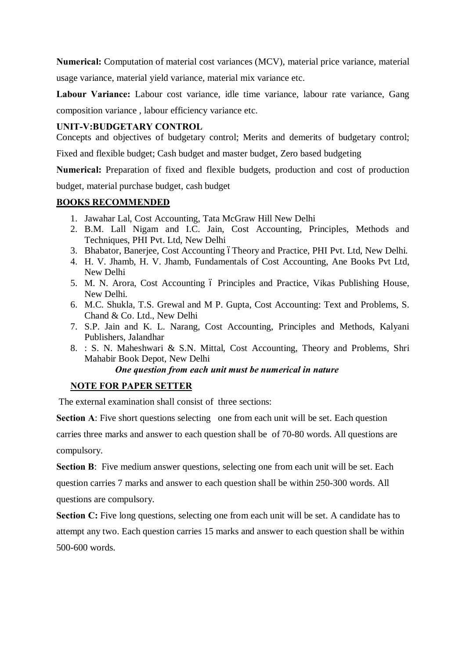**Numerical:** Computation of material cost variances (MCV), material price variance, material usage variance, material yield variance, material mix variance etc.

**Labour Variance:** Labour cost variance, idle time variance, labour rate variance, Gang composition variance , labour efficiency variance etc.

### **UNIT-V:BUDGETARY CONTROL**

Concepts and objectives of budgetary control; Merits and demerits of budgetary control;

Fixed and flexible budget; Cash budget and master budget, Zero based budgeting

**Numerical:** Preparation of fixed and flexible budgets, production and cost of production budget, material purchase budget, cash budget

### **BOOKS RECOMMENDED**

- 1. Jawahar Lal, Cost Accounting, Tata McGraw Hill New Delhi
- 2. B.M. Lall Nigam and I.C. Jain, Cost Accounting, Principles, Methods and Techniques, PHI Pvt. Ltd, New Delhi
- 3. Bhabator, Banerjee, Cost Accounting óTheory and Practice, PHI Pvt. Ltd, New Delhi.
- 4. H. V. Jhamb, H. V. Jhamb, Fundamentals of Cost Accounting, Ane Books Pvt Ltd, New Delhi
- 5. M. N. Arora, Cost Accounting ó Principles and Practice, Vikas Publishing House, New Delhi.
- 6. M.C. Shukla, T.S. Grewal and M P. Gupta, Cost Accounting: Text and Problems, S. Chand & Co. Ltd., New Delhi
- 7. S.P. Jain and K. L. Narang, Cost Accounting, Principles and Methods, Kalyani Publishers, Jalandhar
- 8. : S. N. Maheshwari & S.N. Mittal, Cost Accounting, Theory and Problems, Shri Mahabir Book Depot, New Delhi

 *One question from each unit must be numerical in nature*

### **NOTE FOR PAPER SETTER**

The external examination shall consist of three sections:

**Section A:** Five short questions selecting one from each unit will be set. Each question carries three marks and answer to each question shall be of 70-80 words. All questions are compulsory.

**Section B**: Five medium answer questions, selecting one from each unit will be set. Each question carries 7 marks and answer to each question shall be within 250-300 words. All questions are compulsory.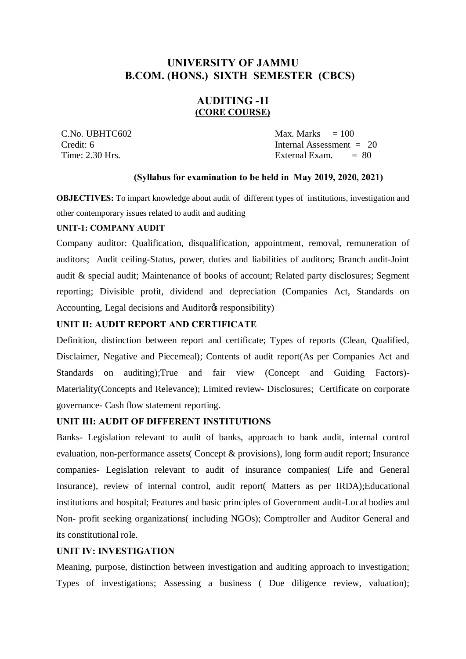# **UNIVERSITY OF JAMMU B.COM. (HONS.) SIXTH SEMESTER (CBCS)**

### **AUDITING -1I (CORE COURSE)**

 $\text{C.No. UBHTC602}$   $\text{Max. Marks} = 100$  Credit: 6 Internal Assessment = 20 Time:  $2.30$  Hrs.  $\qquad \qquad$  External Exam.  $= 80$ 

### **(Syllabus for examination to be held in May 2019, 2020, 2021)**

**OBJECTIVES:** To impart knowledge about audit of different types of institutions, investigation and other contemporary issues related to audit and auditing

#### **UNIT-1: COMPANY AUDIT**

Company auditor: Qualification, disqualification, appointment, removal, remuneration of auditors; Audit ceiling-Status, power, duties and liabilities of auditors; Branch audit-Joint audit & special audit; Maintenance of books of account; Related party disclosures; Segment reporting; Divisible profit, dividend and depreciation (Companies Act, Standards on Accounting, Legal decisions and Auditor<sub>®</sub> responsibility)

### **UNIT II: AUDIT REPORT AND CERTIFICATE**

Definition, distinction between report and certificate; Types of reports (Clean, Qualified, Disclaimer, Negative and Piecemeal); Contents of audit report(As per Companies Act and Standards on auditing);True and fair view (Concept and Guiding Factors)- Materiality(Concepts and Relevance); Limited review- Disclosures; Certificate on corporate governance- Cash flow statement reporting.

#### **UNIT III: AUDIT OF DIFFERENT INSTITUTIONS**

Banks- Legislation relevant to audit of banks, approach to bank audit, internal control evaluation, non-performance assets( Concept & provisions), long form audit report; Insurance companies- Legislation relevant to audit of insurance companies( Life and General Insurance), review of internal control, audit report( Matters as per IRDA);Educational institutions and hospital; Features and basic principles of Government audit-Local bodies and Non- profit seeking organizations( including NGOs); Comptroller and Auditor General and its constitutional role.

#### **UNIT IV: INVESTIGATION**

Meaning, purpose, distinction between investigation and auditing approach to investigation; Types of investigations; Assessing a business ( Due diligence review, valuation);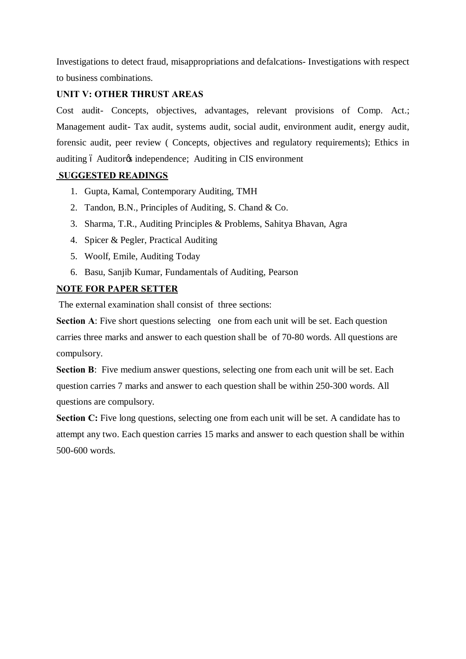Investigations to detect fraud, misappropriations and defalcations- Investigations with respect to business combinations.

### **UNIT V: OTHER THRUST AREAS**

Cost audit- Concepts, objectives, advantages, relevant provisions of Comp. Act.; Management audit- Tax audit, systems audit, social audit, environment audit, energy audit, forensic audit, peer review ( Concepts, objectives and regulatory requirements); Ethics in auditing 6 Auditor<sub>®</sub> independence; Auditing in CIS environment

### **SUGGESTED READINGS**

- 1. Gupta, Kamal, Contemporary Auditing, TMH
- 2. Tandon, B.N., Principles of Auditing, S. Chand & Co.
- 3. Sharma, T.R., Auditing Principles & Problems, Sahitya Bhavan, Agra
- 4. Spicer & Pegler, Practical Auditing
- 5. Woolf, Emile, Auditing Today
- 6. Basu, Sanjib Kumar, Fundamentals of Auditing, Pearson

### **NOTE FOR PAPER SETTER**

The external examination shall consist of three sections:

**Section A:** Five short questions selecting one from each unit will be set. Each question carries three marks and answer to each question shall be of 70-80 words. All questions are compulsory.

**Section B**: Five medium answer questions, selecting one from each unit will be set. Each question carries 7 marks and answer to each question shall be within 250-300 words. All questions are compulsory.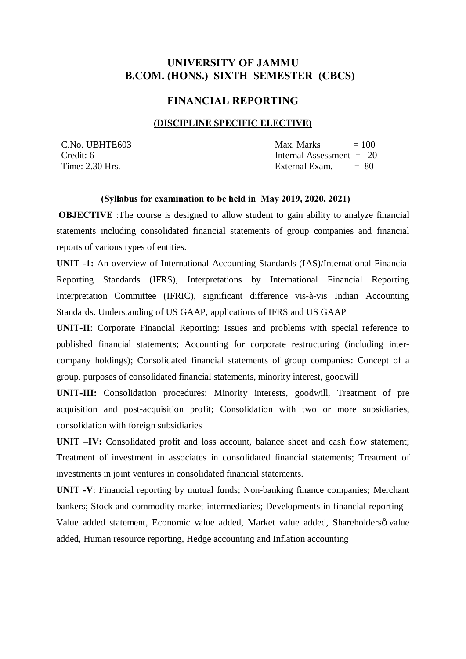# **UNIVERSITY OF JAMMU B.COM. (HONS.) SIXTH SEMESTER (CBCS)**

### **FINANCIAL REPORTING**

#### **(DISCIPLINE SPECIFIC ELECTIVE)**

 $\text{C.No. } \text{UBHTE603}$   $\text{Max. } \text{Marks}$   $= 100$ Credit: 6 Internal Assessment = 20 Time:  $2.30$  Hrs.  $\qquad \qquad$  External Exam.  $= 80$ 

#### **(Syllabus for examination to be held in May 2019, 2020, 2021)**

**OBJECTIVE**: The course is designed to allow student to gain ability to analyze financial statements including consolidated financial statements of group companies and financial reports of various types of entities.

**UNIT -1:** An overview of International Accounting Standards (IAS)/International Financial Reporting Standards (IFRS), Interpretations by International Financial Reporting Interpretation Committee (IFRIC), significant difference vis-à-vis Indian Accounting Standards. Understanding of US GAAP, applications of IFRS and US GAAP

**UNIT-II**: Corporate Financial Reporting: Issues and problems with special reference to published financial statements; Accounting for corporate restructuring (including intercompany holdings); Consolidated financial statements of group companies: Concept of a group, purposes of consolidated financial statements, minority interest, goodwill

**UNIT-III:** Consolidation procedures: Minority interests, goodwill, Treatment of pre acquisition and post-acquisition profit; Consolidation with two or more subsidiaries, consolidation with foreign subsidiaries

**UNIT –IV:** Consolidated profit and loss account, balance sheet and cash flow statement; Treatment of investment in associates in consolidated financial statements; Treatment of investments in joint ventures in consolidated financial statements.

**UNIT -V**: Financial reporting by mutual funds; Non-banking finance companies; Merchant bankers; Stock and commodity market intermediaries; Developments in financial reporting - Value added statement, Economic value added, Market value added, Shareholdersø value added, Human resource reporting, Hedge accounting and Inflation accounting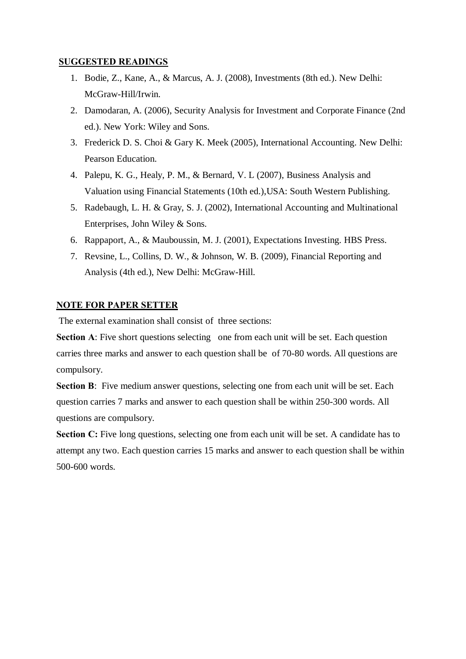### **SUGGESTED READINGS**

- 1. Bodie, Z., Kane, A., & Marcus, A. J. (2008), Investments (8th ed.). New Delhi: McGraw-Hill/Irwin.
- 2. Damodaran, A. (2006), Security Analysis for Investment and Corporate Finance (2nd ed.). New York: Wiley and Sons.
- 3. Frederick D. S. Choi & Gary K. Meek (2005), International Accounting. New Delhi: Pearson Education.
- 4. Palepu, K. G., Healy, P. M., & Bernard, V. L (2007), Business Analysis and Valuation using Financial Statements (10th ed.),USA: South Western Publishing.
- 5. Radebaugh, L. H. & Gray, S. J. (2002), International Accounting and Multinational Enterprises, John Wiley & Sons.
- 6. Rappaport, A., & Mauboussin, M. J. (2001), Expectations Investing. HBS Press.
- 7. Revsine, L., Collins, D. W., & Johnson, W. B. (2009), Financial Reporting and Analysis (4th ed.), New Delhi: McGraw-Hill.

### **NOTE FOR PAPER SETTER**

The external examination shall consist of three sections:

**Section A:** Five short questions selecting one from each unit will be set. Each question carries three marks and answer to each question shall be of 70-80 words. All questions are compulsory.

**Section B**: Five medium answer questions, selecting one from each unit will be set. Each question carries 7 marks and answer to each question shall be within 250-300 words. All questions are compulsory.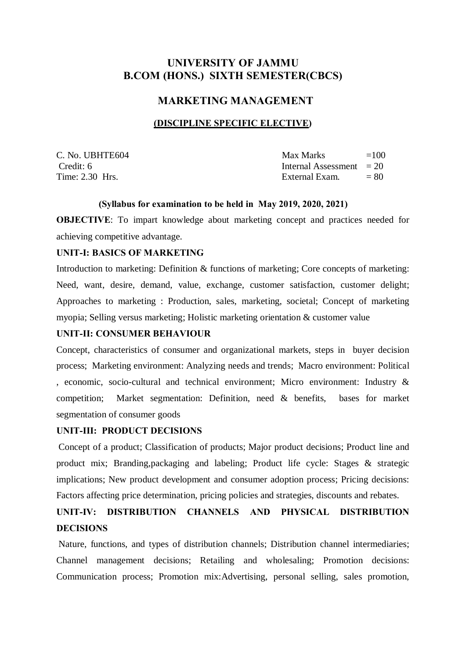# **UNIVERSITY OF JAMMU B.COM (HONS.) SIXTH SEMESTER(CBCS)**

### **MARKETING MANAGEMENT**

### **(DISCIPLINE SPECIFIC ELECTIVE)**

| C. No. UBHTE604 | Max Marks                  | $=100$ |
|-----------------|----------------------------|--------|
| Credit: 6       | Internal Assessment $= 20$ |        |
| Time: 2.30 Hrs. | External Exam.             | $= 80$ |

#### **(Syllabus for examination to be held in May 2019, 2020, 2021)**

**OBJECTIVE**: To impart knowledge about marketing concept and practices needed for achieving competitive advantage.

#### **UNIT-I: BASICS OF MARKETING**

Introduction to marketing: Definition & functions of marketing; Core concepts of marketing: Need, want, desire, demand, value, exchange, customer satisfaction, customer delight; Approaches to marketing : Production, sales, marketing, societal; Concept of marketing myopia; Selling versus marketing; Holistic marketing orientation & customer value

### **UNIT-II: CONSUMER BEHAVIOUR**

Concept, characteristics of consumer and organizational markets, steps in buyer decision process; Marketing environment: Analyzing needs and trends; Macro environment: Political , economic, socio-cultural and technical environment; Micro environment: Industry & competition; Market segmentation: Definition, need & benefits, bases for market segmentation of consumer goods

### **UNIT-III: PRODUCT DECISIONS**

Concept of a product; Classification of products; Major product decisions; Product line and product mix; Branding,packaging and labeling; Product life cycle: Stages & strategic implications; New product development and consumer adoption process; Pricing decisions: Factors affecting price determination, pricing policies and strategies, discounts and rebates.

# **UNIT-IV: DISTRIBUTION CHANNELS AND PHYSICAL DISTRIBUTION DECISIONS**

Nature, functions, and types of distribution channels; Distribution channel intermediaries; Channel management decisions; Retailing and wholesaling; Promotion decisions: Communication process; Promotion mix:Advertising, personal selling, sales promotion,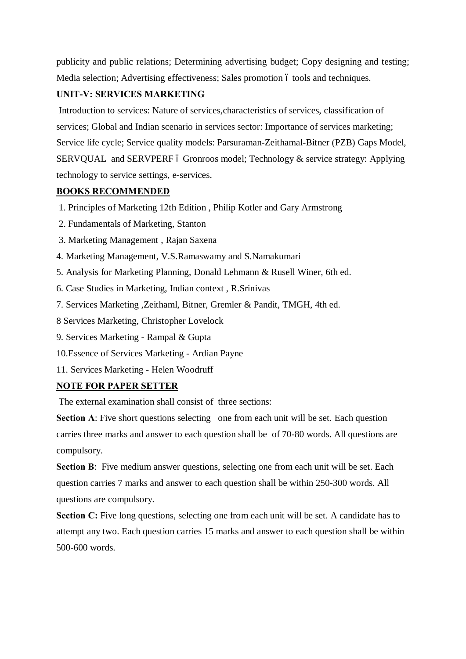publicity and public relations; Determining advertising budget; Copy designing and testing; Media selection; Advertising effectiveness; Sales promotion 6 tools and techniques.

### **UNIT-V: SERVICES MARKETING**

Introduction to services: Nature of services,characteristics of services, classification of services; Global and Indian scenario in services sector: Importance of services marketing; Service life cycle; Service quality models: Parsuraman-Zeithamal-Bitner (PZB) Gaps Model, SERVQUAL and SERVPERF  $\acute{o}$  Gronroos model; Technology  $\&$  service strategy: Applying technology to service settings, e-services.

### **BOOKS RECOMMENDED**

- 1. Principles of Marketing 12th Edition , Philip Kotler and Gary Armstrong
- 2. Fundamentals of Marketing, Stanton
- 3. Marketing Management , Rajan Saxena
- 4. Marketing Management, V.S.Ramaswamy and S.Namakumari
- 5. Analysis for Marketing Planning, Donald Lehmann & Rusell Winer, 6th ed.
- 6. Case Studies in Marketing, Indian context , R.Srinivas
- 7. Services Marketing ,Zeithaml, Bitner, Gremler & Pandit, TMGH, 4th ed.
- 8 Services Marketing, Christopher Lovelock
- 9. Services Marketing Rampal & Gupta
- 10.Essence of Services Marketing Ardian Payne
- 11. Services Marketing Helen Woodruff

# **NOTE FOR PAPER SETTER**

The external examination shall consist of three sections:

**Section A:** Five short questions selecting one from each unit will be set. Each question carries three marks and answer to each question shall be of 70-80 words. All questions are compulsory.

**Section B**: Five medium answer questions, selecting one from each unit will be set. Each question carries 7 marks and answer to each question shall be within 250-300 words. All questions are compulsory.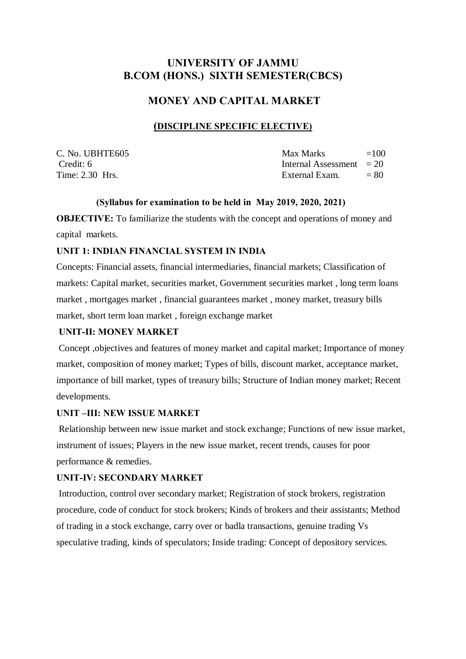# **UNIVERSITY OF JAMMU B.COM (HONS.) SIXTH SEMESTER(CBCS)**

### **MONEY AND CAPITAL MARKET**

### **(DISCIPLINE SPECIFIC ELECTIVE)**

| C. No. UBHTE605 | Max Marks                  | $=100$ |
|-----------------|----------------------------|--------|
| Credit: 6       | Internal Assessment $= 20$ |        |
| Time: 2.30 Hrs. | External Exam.             | $= 80$ |

### **(Syllabus for examination to be held in May 2019, 2020, 2021)**

**OBJECTIVE:** To familiarize the students with the concept and operations of money and capital markets.

### **UNIT 1: INDIAN FINANCIAL SYSTEM IN INDIA**

Concepts: Financial assets, financial intermediaries, financial markets; Classification of markets: Capital market, securities market, Government securities market , long term loans market , mortgages market , financial guarantees market , money market, treasury bills market, short term loan market , foreign exchange market

### **UNIT-II: MONEY MARKET**

Concept ,objectives and features of money market and capital market; Importance of money market, composition of money market; Types of bills, discount market, acceptance market, importance of bill market, types of treasury bills; Structure of Indian money market; Recent developments.

### **UNIT –III: NEW ISSUE MARKET**

Relationship between new issue market and stock exchange; Functions of new issue market, instrument of issues; Players in the new issue market, recent trends, causes for poor performance & remedies.

### **UNIT-IV: SECONDARY MARKET**

Introduction, control over secondary market; Registration of stock brokers, registration procedure, code of conduct for stock brokers; Kinds of brokers and their assistants; Method of trading in a stock exchange, carry over or badla transactions, genuine trading Vs speculative trading, kinds of speculators; Inside trading: Concept of depository services.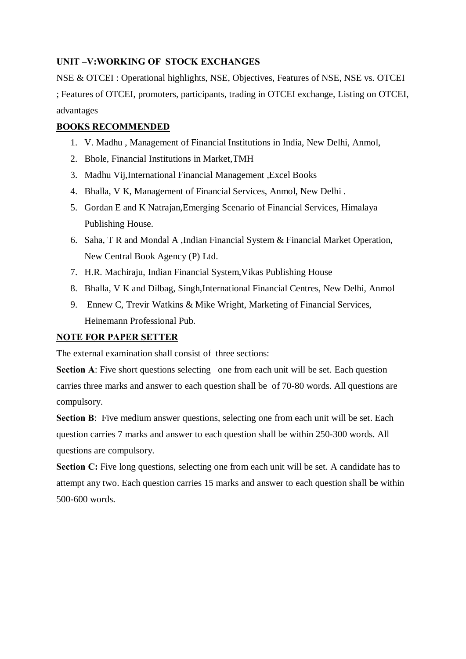### **UNIT –V:WORKING OF STOCK EXCHANGES**

NSE & OTCEI : Operational highlights, NSE, Objectives, Features of NSE, NSE vs. OTCEI ; Features of OTCEI, promoters, participants, trading in OTCEI exchange, Listing on OTCEI, advantages

### **BOOKS RECOMMENDED**

- 1. V. Madhu , Management of Financial Institutions in India, New Delhi, Anmol,
- 2. Bhole, Financial Institutions in Market,TMH
- 3. Madhu Vij,International Financial Management ,Excel Books
- 4. Bhalla, V K, Management of Financial Services, Anmol, New Delhi .
- 5. Gordan E and K Natrajan,Emerging Scenario of Financial Services, Himalaya Publishing House.
- 6. Saha, T R and Mondal A ,Indian Financial System & Financial Market Operation, New Central Book Agency (P) Ltd.
- 7. H.R. Machiraju, Indian Financial System,Vikas Publishing House
- 8. Bhalla, V K and Dilbag, Singh,International Financial Centres, New Delhi, Anmol
- 9. Ennew C, Trevir Watkins & Mike Wright, Marketing of Financial Services, Heinemann Professional Pub.

### **NOTE FOR PAPER SETTER**

The external examination shall consist of three sections:

**Section A:** Five short questions selecting one from each unit will be set. Each question carries three marks and answer to each question shall be of 70-80 words. All questions are compulsory.

**Section B**: Five medium answer questions, selecting one from each unit will be set. Each question carries 7 marks and answer to each question shall be within 250-300 words. All questions are compulsory.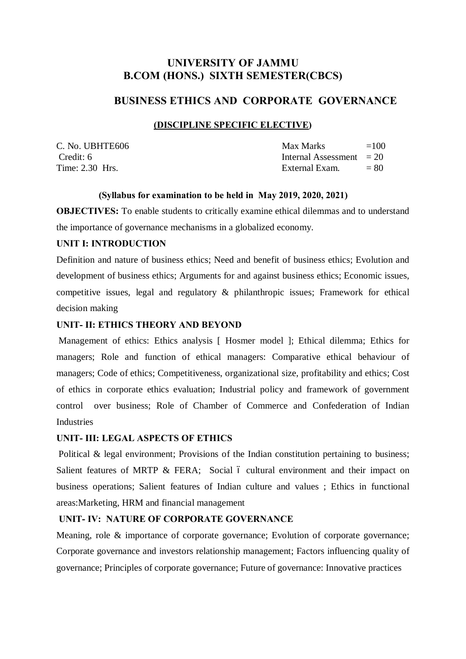# **UNIVERSITY OF JAMMU B.COM (HONS.) SIXTH SEMESTER(CBCS)**

### **BUSINESS ETHICS AND CORPORATE GOVERNANCE**

### **(DISCIPLINE SPECIFIC ELECTIVE)**

| C. No. UBHTE606 | Max Marks                  | $=100$ |
|-----------------|----------------------------|--------|
| Credit: 6       | Internal Assessment $= 20$ |        |
| Time: 2.30 Hrs. | External Exam.             | $= 80$ |

### **(Syllabus for examination to be held in May 2019, 2020, 2021)**

**OBJECTIVES:** To enable students to critically examine ethical dilemmas and to understand the importance of governance mechanisms in a globalized economy.

### **UNIT I: INTRODUCTION**

Definition and nature of business ethics; Need and benefit of business ethics; Evolution and development of business ethics; Arguments for and against business ethics; Economic issues, competitive issues, legal and regulatory & philanthropic issues; Framework for ethical decision making

### **UNIT- II: ETHICS THEORY AND BEYOND**

Management of ethics: Ethics analysis [ Hosmer model ]; Ethical dilemma; Ethics for managers; Role and function of ethical managers: Comparative ethical behaviour of managers; Code of ethics; Competitiveness, organizational size, profitability and ethics; Cost of ethics in corporate ethics evaluation; Industrial policy and framework of government control over business; Role of Chamber of Commerce and Confederation of Indian **Industries** 

### **UNIT- III: LEGAL ASPECTS OF ETHICS**

Political & legal environment; Provisions of the Indian constitution pertaining to business; Salient features of MRTP & FERA; Social 6 cultural environment and their impact on business operations; Salient features of Indian culture and values ; Ethics in functional areas:Marketing, HRM and financial management

### **UNIT- IV: NATURE OF CORPORATE GOVERNANCE**

Meaning, role & importance of corporate governance; Evolution of corporate governance; Corporate governance and investors relationship management; Factors influencing quality of governance; Principles of corporate governance; Future of governance: Innovative practices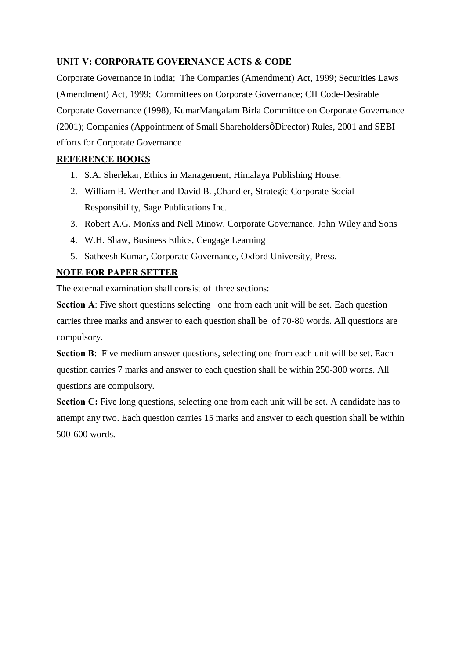### **UNIT V: CORPORATE GOVERNANCE ACTS & CODE**

Corporate Governance in India; The Companies (Amendment) Act, 1999; Securities Laws (Amendment) Act, 1999; Committees on Corporate Governance; CII Code-Desirable Corporate Governance (1998), KumarMangalam Birla Committee on Corporate Governance (2001); Companies (Appointment of Small Shareholdersø Director) Rules, 2001 and SEBI efforts for Corporate Governance

### **REFERENCE BOOKS**

- 1. S.A. Sherlekar, Ethics in Management, Himalaya Publishing House.
- 2. William B. Werther and David B. ,Chandler, Strategic Corporate Social Responsibility, Sage Publications Inc.
- 3. Robert A.G. Monks and Nell Minow, Corporate Governance, John Wiley and Sons
- 4. W.H. Shaw, Business Ethics, Cengage Learning
- 5. Satheesh Kumar, Corporate Governance, Oxford University, Press.

### **NOTE FOR PAPER SETTER**

The external examination shall consist of three sections:

**Section A:** Five short questions selecting one from each unit will be set. Each question carries three marks and answer to each question shall be of 70-80 words. All questions are compulsory.

**Section B:** Five medium answer questions, selecting one from each unit will be set. Each question carries 7 marks and answer to each question shall be within 250-300 words. All questions are compulsory.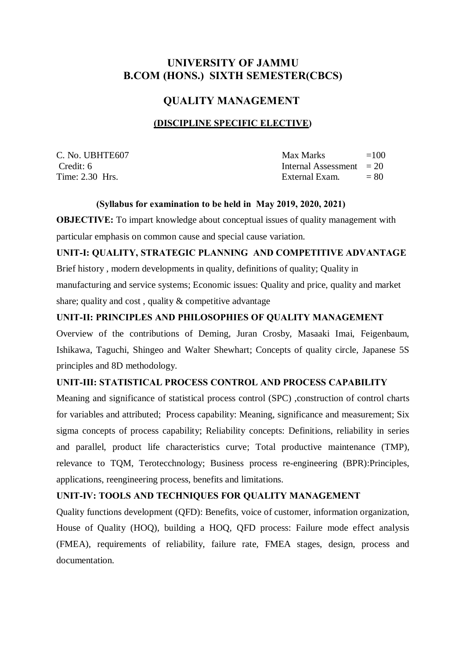# **UNIVERSITY OF JAMMU B.COM (HONS.) SIXTH SEMESTER(CBCS)**

### **QUALITY MANAGEMENT**

### **(DISCIPLINE SPECIFIC ELECTIVE)**

| C. No. UBHTE607 | Max Marks                  | $=100$ |
|-----------------|----------------------------|--------|
| Credit: 6       | Internal Assessment $= 20$ |        |
| Time: 2.30 Hrs. | External Exam.             | $= 80$ |

#### **(Syllabus for examination to be held in May 2019, 2020, 2021)**

**OBJECTIVE:** To impart knowledge about conceptual issues of quality management with particular emphasis on common cause and special cause variation.

### **UNIT-I: QUALITY, STRATEGIC PLANNING AND COMPETITIVE ADVANTAGE**

Brief history , modern developments in quality, definitions of quality; Quality in manufacturing and service systems; Economic issues: Quality and price, quality and market share; quality and cost , quality & competitive advantage

### **UNIT-II: PRINCIPLES AND PHILOSOPHIES OF QUALITY MANAGEMENT**

Overview of the contributions of Deming, Juran Crosby, Masaaki Imai, Feigenbaum, Ishikawa, Taguchi, Shingeo and Walter Shewhart; Concepts of quality circle, Japanese 5S principles and 8D methodology.

### **UNIT-III: STATISTICAL PROCESS CONTROL AND PROCESS CAPABILITY**

Meaning and significance of statistical process control (SPC) ,construction of control charts for variables and attributed; Process capability: Meaning, significance and measurement; Six sigma concepts of process capability; Reliability concepts: Definitions, reliability in series and parallel, product life characteristics curve; Total productive maintenance (TMP), relevance to TQM, Terotecchnology; Business process re-engineering (BPR):Principles, applications, reengineering process, benefits and limitations.

### **UNIT-IV: TOOLS AND TECHNIQUES FOR QUALITY MANAGEMENT**

Quality functions development (QFD): Benefits, voice of customer, information organization, House of Quality (HOQ), building a HOQ, QFD process: Failure mode effect analysis (FMEA), requirements of reliability, failure rate, FMEA stages, design, process and documentation.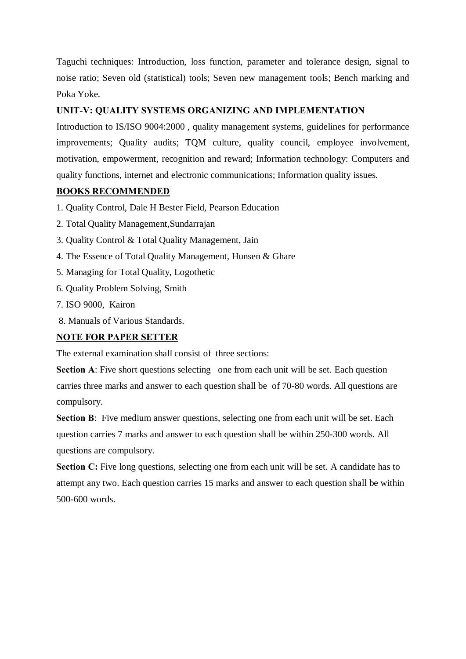Taguchi techniques: Introduction, loss function, parameter and tolerance design, signal to noise ratio; Seven old (statistical) tools; Seven new management tools; Bench marking and Poka Yoke.

### **UNIT-V: QUALITY SYSTEMS ORGANIZING AND IMPLEMENTATION**

Introduction to IS/ISO 9004:2000 , quality management systems, guidelines for performance improvements; Quality audits; TQM culture, quality council, employee involvement, motivation, empowerment, recognition and reward; Information technology: Computers and quality functions, internet and electronic communications; Information quality issues.

### **BOOKS RECOMMENDED**

- 1. Quality Control, Dale H Bester Field, Pearson Education
- 2. Total Quality Management,Sundarrajan
- 3. Quality Control & Total Quality Management, Jain
- 4. The Essence of Total Quality Management, Hunsen & Ghare
- 5. Managing for Total Quality, Logothetic
- 6. Quality Problem Solving, Smith
- 7. ISO 9000, Kairon
- 8. Manuals of Various Standards.

### **NOTE FOR PAPER SETTER**

The external examination shall consist of three sections:

**Section A:** Five short questions selecting one from each unit will be set. Each question carries three marks and answer to each question shall be of 70-80 words. All questions are compulsory.

**Section B**: Five medium answer questions, selecting one from each unit will be set. Each question carries 7 marks and answer to each question shall be within 250-300 words. All questions are compulsory.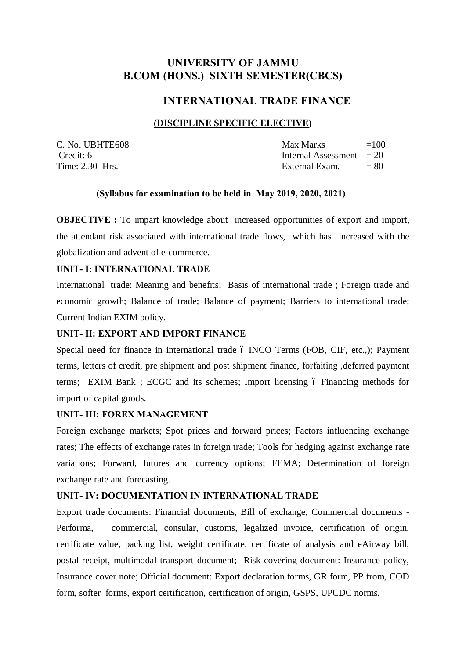# **UNIVERSITY OF JAMMU B.COM (HONS.) SIXTH SEMESTER(CBCS)**

### **INTERNATIONAL TRADE FINANCE**

### **(DISCIPLINE SPECIFIC ELECTIVE)**

C. No. UBHTE608 Time:  $2.30$  Hrs.

| C. No. UBHTE608   | Max Marks                  | $=100$ |
|-------------------|----------------------------|--------|
| Credit: 6         | Internal Assessment $= 20$ |        |
| Time: $2.30$ Hrs. | External Exam.             | $= 80$ |

#### **(Syllabus for examination to be held in May 2019, 2020, 2021)**

**OBJECTIVE :** To impart knowledge about increased opportunities of export and import, the attendant risk associated with international trade flows, which has increased with the globalization and advent of e-commerce.

#### **UNIT- I: INTERNATIONAL TRADE**

International trade: Meaning and benefits; Basis of international trade ; Foreign trade and economic growth; Balance of trade; Balance of payment; Barriers to international trade; Current Indian EXIM policy.

### **UNIT- II: EXPORT AND IMPORT FINANCE**

Special need for finance in international trade 6 INCO Terms (FOB, CIF, etc.,); Payment terms, letters of credit, pre shipment and post shipment finance, forfaiting ,deferred payment terms; EXIM Bank; ECGC and its schemes; Import licensing 6 Financing methods for import of capital goods.

### **UNIT- III: FOREX MANAGEMENT**

Foreign exchange markets; Spot prices and forward prices; Factors influencing exchange rates; The effects of exchange rates in foreign trade; Tools for hedging against exchange rate variations; Forward, futures and currency options; FEMA; Determination of foreign exchange rate and forecasting.

### **UNIT- IV: DOCUMENTATION IN INTERNATIONAL TRADE**

Export trade documents: Financial documents, Bill of exchange, Commercial documents - Performa, commercial, consular, customs, legalized invoice, certification of origin, certificate value, packing list, weight certificate, certificate of analysis and eAirway bill, postal receipt, multimodal transport document; Risk covering document: Insurance policy, Insurance cover note; Official document: Export declaration forms, GR form, PP from, COD form, softer forms, export certification, certification of origin, GSPS, UPCDC norms.